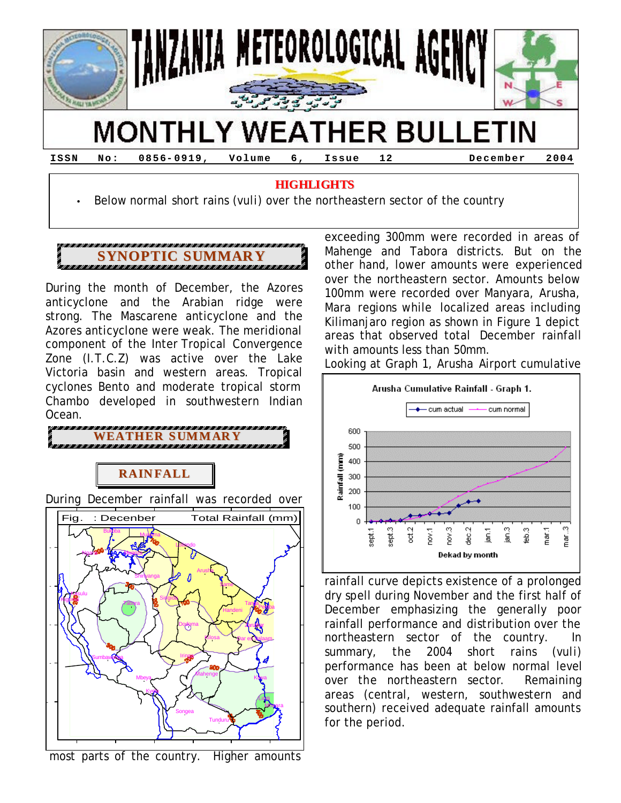

**ISSN No: 0856- 0919, Volume 6, Issue 12 December 2004**

**HIGHLIGHTS**

• Below normal short rains (*vuli*) over the northeastern sector of the country

## **SYNOPTIC SUMMARY**

During the month of December, the Azores anticyclone and the Arabian ridge were strong. The Mascarene anticyclone and the Azores anticyclone were weak. The meridional component of the Inter Tropical Convergence Zone (I.T.C.Z) was active over the Lake Victoria basin and western areas. Tropical cyclones Bento and moderate tropical storm Chambo developed in southwestern Indian Ocean.



During December rainfall was recorded over



most parts of the country. Higher amounts

exceeding 300mm were recorded in areas of Mahenge and Tabora districts. But on the other hand, lower amounts were experienced over the northeastern sector. Amounts below 100mm were recorded over Manyara, Arusha, Mara regions while localized areas including Kilimanjaro region as shown in Figure 1 depict areas that observed total December rainfall with amounts less than 50mm.



rainfall curve depicts existence of a prolonged dry spell during November and the first half of December emphasizing the generally poor rainfall performance and distribution over the northeastern sector of the country. In summary, the 2004 short rains (*vuli*) performance has been at below normal level over the northeastern sector. Remaining areas (central, western, southwestern and southern) received adequate rainfall amounts for the period.

Looking at Graph 1, Arusha Airport cumulative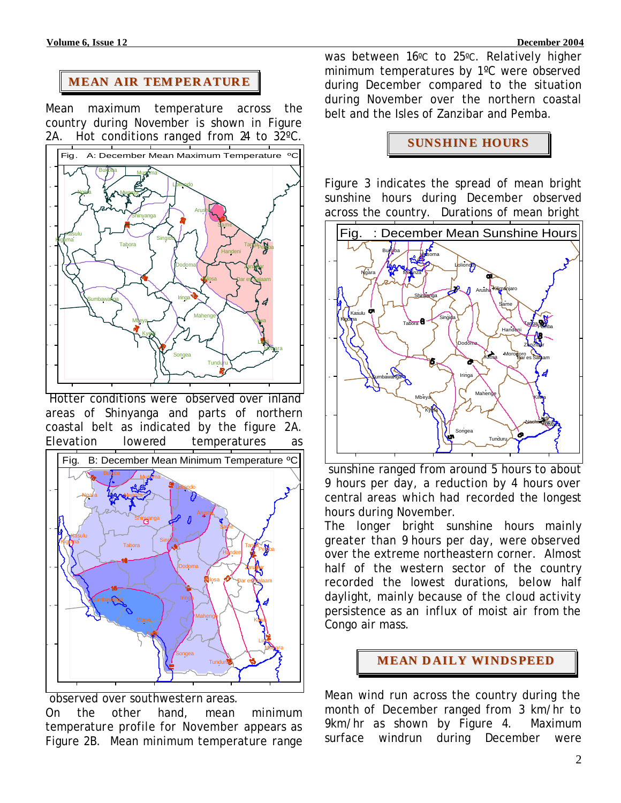### **MEAN AIR TEM PER ATUR E**

Mean maximum temperature across the country during November is shown in Figure 2A. Hot conditions ranged from 24 to 32ºC.



Hotter conditions were observed over inland areas of Shinyanga and parts of northern coastal belt as indicated by the figure 2A. Elevation lowered temperatures as



observed over southwestern areas.

On the other hand, mean minimum temperature profile for November appears as Figure 2B. Mean minimum temperature range was between 16ºC to 25ºC. Relatively higher minimum temperatures by 1ºC were observed during December compared to the situation during November over the northern coastal belt and the Isles of Zanzibar and Pemba.

#### **SUNSHIN E HOURS**

Figure 3 indicates the spread of mean bright sunshine hours during December observed across the country. Durations of mean bright



sunshine ranged from around 5 hours to about 9 hours per day, a reduction by 4 hours over central areas which had recorded the longest hours during November.

The longer bright sunshine hours mainly greater than 9 hours per day, were observed over the extreme northeastern corner. Almost half of the western sector of the country recorded the lowest durations, below half daylight, mainly because of the cloud activity persistence as an influx of moist air from the Congo air mass.

#### **MEAN D AILY WINDSPEED**

Mean wind run across the country during the month of December ranged from 3 km/hr to 9km/hr as shown by Figure 4. Maximum surface windrun during December were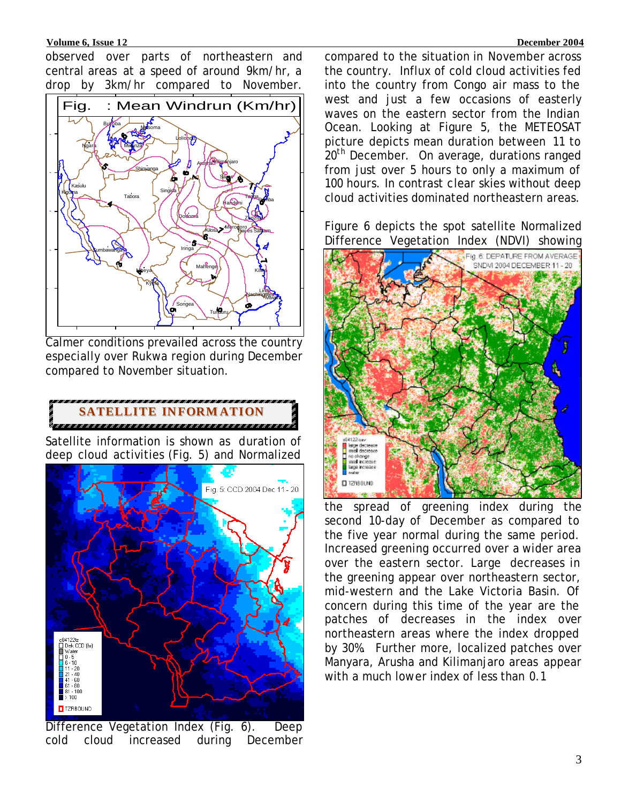#### **Volume 6, Issue 12 December 2004**

observed over parts of northeastern and central areas at a speed of around 9km/hr, a drop by 3km/hr compared to November.



Calmer conditions prevailed across the country especially over Rukwa region during December compared to November situation.



Satellite information is shown as duration of deep cloud activities (Fig. 5) and Normalized



Difference Vegetation Index (Fig. 6). Deep cold cloud increased during December

compared to the situation in November across the country. Influx of cold cloud activities fed into the country from Congo air mass to the west and just a few occasions of easterly waves on the eastern sector from the Indian Ocean. Looking at Figure 5, the METEOSAT picture depicts mean duration between 11 to .<br>20<sup>th</sup> December. On average, durations ranged from just over 5 hours to only a maximum of 100 hours. In contrast clear skies without deep cloud activities dominated northeastern areas.

Figure 6 depicts the spot satellite Normalized Difference Vegetation Index (NDVI) showing



the spread of greening index during the second 10-day of December as compared to the five year normal during the same period. Increased greening occurred over a wider area over the eastern sector. Large decreases in the greening appear over northeastern sector, mid-western and the Lake Victoria Basin. Of concern during this time of the year are the patches of decreases in the index over northeastern areas where the index dropped by 30%. Further more, localized patches over Manyara, Arusha and Kilimanjaro areas appear with a much lower index of less than 0.1